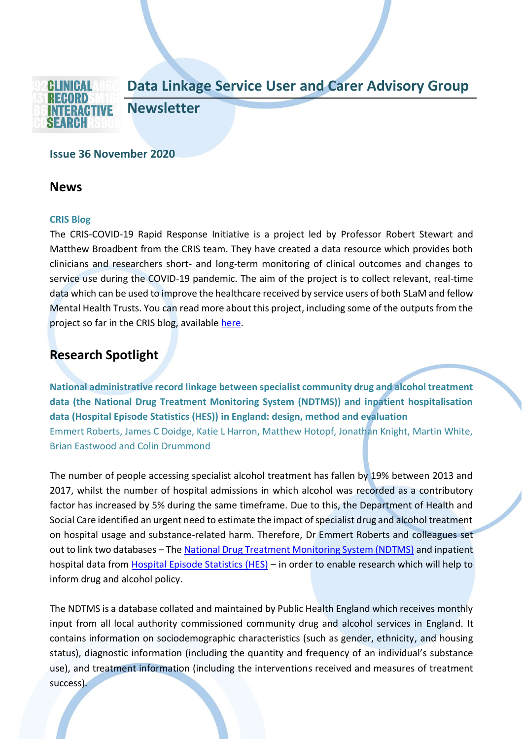### **Data Linkage Service User and Carer Advisory Group**



**Newsletter**

#### **Issue 36 November 2020**

### **News**

#### **CRIS Blog**

The CRIS-COVID-19 Rapid Response Initiative is a project led by Professor Robert Stewart and Matthew Broadbent from the CRIS team. They have created a data resource which provides both clinicians and researchers short- and long-term monitoring of clinical outcomes and changes to service use during the COVID-19 pandemic. The aim of the project is to collect relevant, real-time data which can be used to improve the healthcare received by service users of both SLaM and fellow Mental Health Trusts. You can read more about this project, including some of the outputs from the project so far in the CRIS blog, available [here.](https://www.maudsleybrc.nihr.ac.uk/posts/2020/november/using-patient-data-to-understand-service-use-and-improve-care-during-the-covid-19-pandemic/)

## **Research Spotlight**

**National administrative record linkage between specialist community drug and alcohol treatment data (the National Drug Treatment Monitoring System (NDTMS)) and inpatient hospitalisation data (Hospital Episode Statistics (HES)) in England: design, method and evaluation**  Emmert Roberts, James C Doidge, Katie L Harron, Matthew Hotopf, Jonathan Knight, Martin White, Brian Eastwood and Colin Drummond

The number of people accessing specialist alcohol treatment has fallen by 19% between 2013 and 2017, whilst the number of hospital admissions in which alcohol was recorded as a contributory factor has increased by 5% during the same timeframe. Due to this, the Department of Health and Social Care identified an urgent need to estimate the impact of specialist drug and alcohol treatment on hospital usage and substance-related harm. Therefore, Dr Emmert Roberts and colleagues set out to link two databases – Th[e National Drug Treatment Monitoring System \(NDTMS\)](https://www.ndtms.net/) and inpatient hospital data from [Hospital Episode Statistics \(HES\)](https://digital.nhs.uk/data-and-information/data-tools-and-services/data-services/hospital-episode-statistics) – in order to enable research which will help to inform drug and alcohol policy.

The NDTMS is a database collated and maintained by Public Health England which receives monthly input from all local authority commissioned community drug and alcohol services in England. It contains information on sociodemographic characteristics (such as gender, ethnicity, and housing status), diagnostic information (including the quantity and frequency of an individual's substance use), and treatment information (including the interventions received and measures of treatment success).